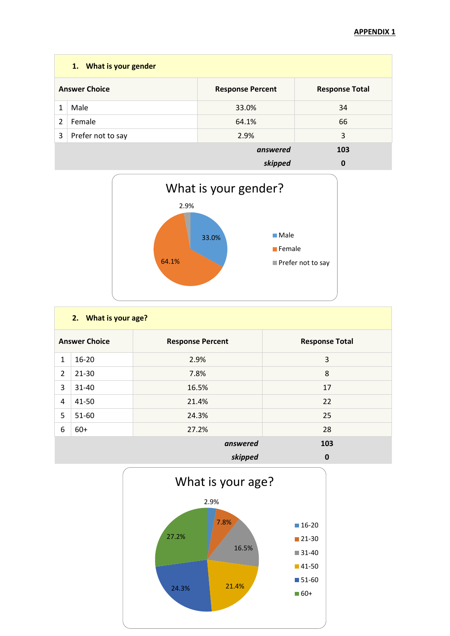|                                                                          | 1. What is your gender |          |          |  |  |  |
|--------------------------------------------------------------------------|------------------------|----------|----------|--|--|--|
| <b>Answer Choice</b><br><b>Response Total</b><br><b>Response Percent</b> |                        |          |          |  |  |  |
| 1                                                                        | Male                   | 33.0%    | 34       |  |  |  |
| $\overline{2}$                                                           | Female                 | 64.1%    | 66       |  |  |  |
| 3                                                                        | Prefer not to say      | 2.9%     | 3        |  |  |  |
|                                                                          |                        | answered | 103      |  |  |  |
|                                                                          |                        | skipped  | $\bf{0}$ |  |  |  |



|                      | 2. What is your age? |                         |                       |  |  |  |
|----------------------|----------------------|-------------------------|-----------------------|--|--|--|
| <b>Answer Choice</b> |                      | <b>Response Percent</b> | <b>Response Total</b> |  |  |  |
| 1                    | $16 - 20$            | 2.9%                    | 3                     |  |  |  |
| $\overline{2}$       | $21 - 30$            | 7.8%                    | 8                     |  |  |  |
| 3                    | 31-40                | 16.5%                   | 17                    |  |  |  |
| 4                    | 41-50                | 21.4%                   | 22                    |  |  |  |
| 5                    | 51-60                | 24.3%                   | 25                    |  |  |  |
| 6                    | $60+$                | 27.2%                   | 28                    |  |  |  |
|                      | 103                  |                         |                       |  |  |  |
|                      | skipped<br>$\bf{0}$  |                         |                       |  |  |  |

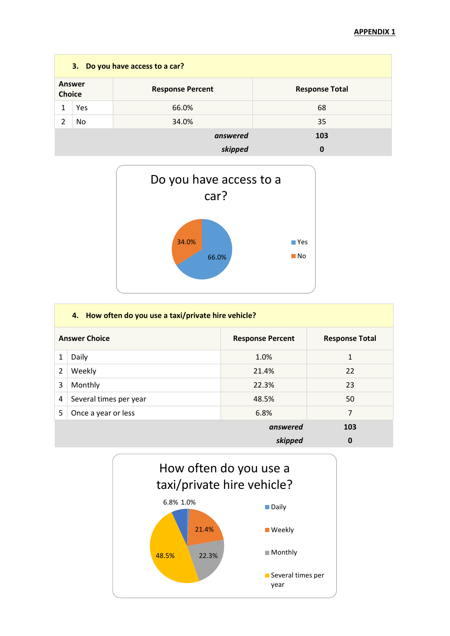| 3. Do you have access to a car? |     |                         |                       |  |  |
|---------------------------------|-----|-------------------------|-----------------------|--|--|
| <b>Answer</b><br><b>Choice</b>  |     | <b>Response Percent</b> | <b>Response Total</b> |  |  |
| 1                               | Yes | 66.0%                   | 68                    |  |  |
| າ                               | No. | 34.0%                   | 35                    |  |  |
|                                 |     | answered                | 103                   |  |  |
|                                 |     | skipped                 | 0                     |  |  |



|   | 4. How often do you use a taxi/private hire vehicle? |                       |              |  |  |
|---|------------------------------------------------------|-----------------------|--------------|--|--|
|   | <b>Answer Choice</b>                                 | <b>Response Total</b> |              |  |  |
| 1 | Daily                                                | 1.0%                  | $\mathbf{1}$ |  |  |
| 2 | Weekly                                               | 21.4%                 | 22           |  |  |
| 3 | Monthly                                              | 22.3%                 | 23           |  |  |
| 4 | Several times per year                               | 48.5%                 | 50           |  |  |
| 5 | Once a year or less                                  | 6.8%                  | 7            |  |  |
|   |                                                      | answered              | 103          |  |  |
|   |                                                      | skipped               | 0            |  |  |

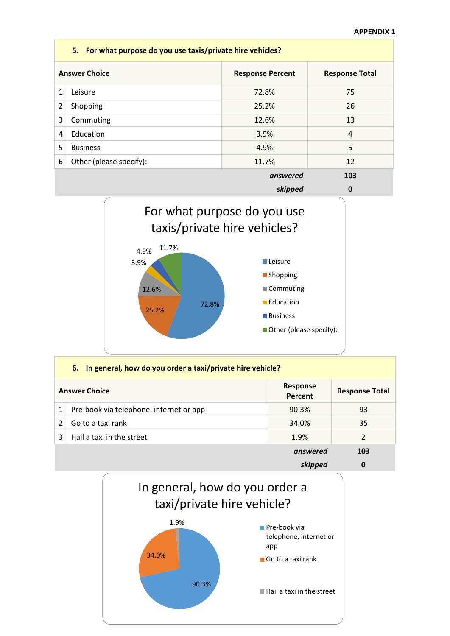|                                                                          | 5. For what purpose do you use taxis/private hire vehicles? |          |                |  |  |  |
|--------------------------------------------------------------------------|-------------------------------------------------------------|----------|----------------|--|--|--|
| <b>Answer Choice</b><br><b>Response Total</b><br><b>Response Percent</b> |                                                             |          |                |  |  |  |
| 1                                                                        | Leisure                                                     | 72.8%    | 75             |  |  |  |
| 2                                                                        | Shopping                                                    | 25.2%    | 26             |  |  |  |
| 3                                                                        | Commuting                                                   | 12.6%    | 13             |  |  |  |
| 4                                                                        | Education                                                   | 3.9%     | $\overline{4}$ |  |  |  |
| 5                                                                        | <b>Business</b>                                             | 4.9%     | 5              |  |  |  |
| 6                                                                        | Other (please specify):                                     | 11.7%    | 12             |  |  |  |
|                                                                          |                                                             | answered | 103            |  |  |  |
|                                                                          |                                                             | skipped  | 0              |  |  |  |



|   | 6. In general, how do you order a taxi/private hire vehicle? |                     |                       |  |  |  |
|---|--------------------------------------------------------------|---------------------|-----------------------|--|--|--|
|   | <b>Answer Choice</b>                                         | Response<br>Percent | <b>Response Total</b> |  |  |  |
|   | Pre-book via telephone, internet or app                      | 90.3%               | 93                    |  |  |  |
| 2 | Go to a taxi rank                                            | 34.0%               | 35                    |  |  |  |
| 3 | Hail a taxi in the street                                    | 1.9%                | 2                     |  |  |  |
|   |                                                              | answered            | 103                   |  |  |  |
|   |                                                              | skipped             | 0                     |  |  |  |

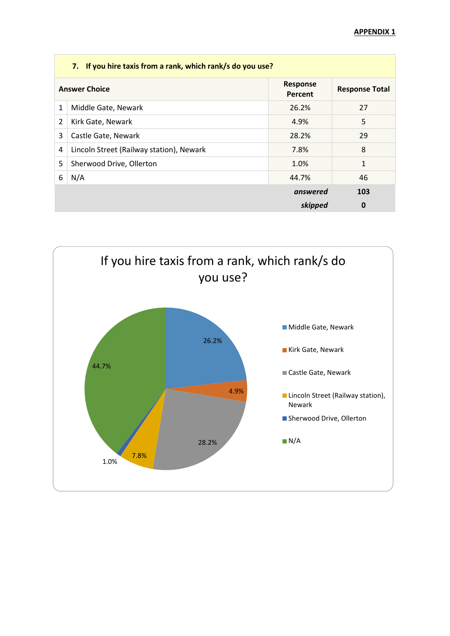|   | 7. If you hire taxis from a rank, which rank/s do you use? |                     |                       |  |  |  |
|---|------------------------------------------------------------|---------------------|-----------------------|--|--|--|
|   | <b>Answer Choice</b>                                       | Response<br>Percent | <b>Response Total</b> |  |  |  |
| 1 | Middle Gate, Newark                                        | 26.2%               | 27                    |  |  |  |
| 2 | Kirk Gate, Newark                                          | 4.9%                | 5                     |  |  |  |
| 3 | Castle Gate, Newark                                        | 28.2%               | 29                    |  |  |  |
| 4 | Lincoln Street (Railway station), Newark                   | 7.8%                | 8                     |  |  |  |
| 5 | Sherwood Drive, Ollerton                                   | 1.0%                | 1                     |  |  |  |
| 6 | N/A                                                        | 44.7%               | 46                    |  |  |  |
|   |                                                            | answered            | 103                   |  |  |  |
|   |                                                            | skipped             | 0                     |  |  |  |

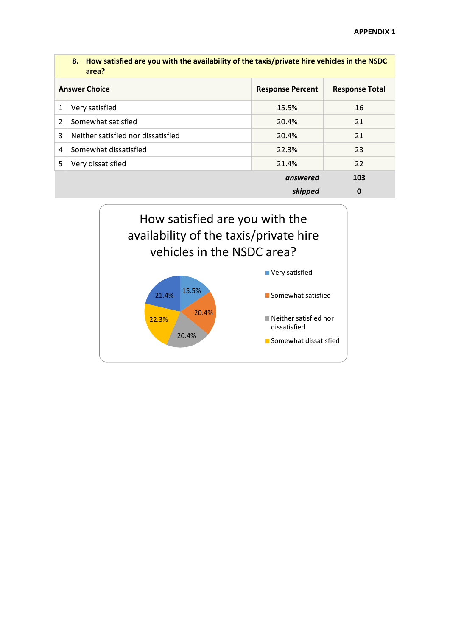|                                                                          | 8. How satisfied are you with the availability of the taxis/private hire vehicles in the NSDC<br>area? |          |             |  |  |
|--------------------------------------------------------------------------|--------------------------------------------------------------------------------------------------------|----------|-------------|--|--|
| <b>Answer Choice</b><br><b>Response Percent</b><br><b>Response Total</b> |                                                                                                        |          |             |  |  |
| 1                                                                        | Very satisfied                                                                                         | 15.5%    | 16          |  |  |
| 2                                                                        | Somewhat satisfied                                                                                     | 20.4%    | 21          |  |  |
| 3                                                                        | Neither satisfied nor dissatisfied                                                                     | 20.4%    | 21          |  |  |
| 4                                                                        | Somewhat dissatisfied                                                                                  | 22.3%    | 23          |  |  |
| 5                                                                        | Very dissatisfied                                                                                      | 21.4%    | 22          |  |  |
|                                                                          |                                                                                                        | answered | 103         |  |  |
|                                                                          |                                                                                                        | skipped  | $\mathbf 0$ |  |  |

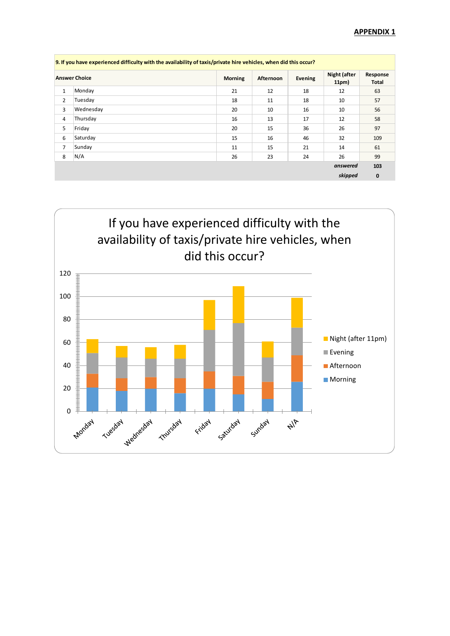| 9. If you have experienced difficulty with the availability of taxis/private hire vehicles, when did this occur? |                      |                |                  |         |                       |                          |
|------------------------------------------------------------------------------------------------------------------|----------------------|----------------|------------------|---------|-----------------------|--------------------------|
|                                                                                                                  | <b>Answer Choice</b> | <b>Morning</b> | <b>Afternoon</b> | Evening | Night (after<br>11pm) | Response<br><b>Total</b> |
| 1                                                                                                                | Monday               | 21             | 12               | 18      | 12                    | 63                       |
| $\overline{2}$                                                                                                   | Tuesday              | 18             | 11               | 18      | 10                    | 57                       |
| 3                                                                                                                | Wednesday            | 20             | 10               | 16      | 10                    | 56                       |
| 4                                                                                                                | Thursday             | 16             | 13               | 17      | 12                    | 58                       |
| 5                                                                                                                | Friday               | 20             | 15               | 36      | 26                    | 97                       |
| 6                                                                                                                | Saturday             | 15             | 16               | 46      | 32                    | 109                      |
| $\overline{7}$                                                                                                   | Sunday               | 11             | 15               | 21      | 14                    | 61                       |
| 8                                                                                                                | N/A                  | 26             | 23               | 24      | 26                    | 99                       |
|                                                                                                                  |                      |                |                  |         | answered              | 103                      |
|                                                                                                                  |                      |                |                  |         | skipped               | $\mathbf 0$              |

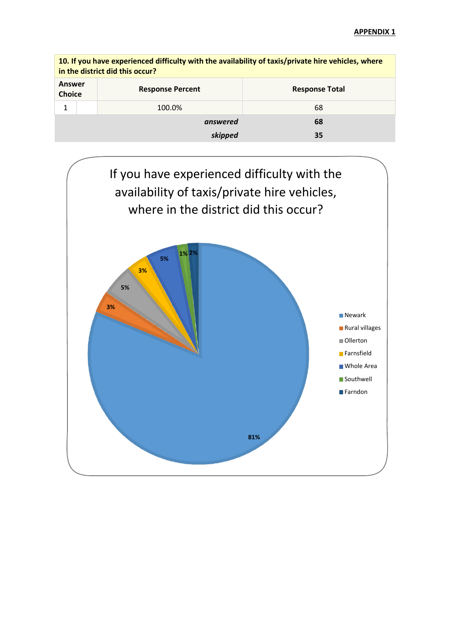|                                | 10. If you have experienced difficulty with the availability of taxis/private hire vehicles, where<br>in the district did this occur? |                         |                       |  |  |  |
|--------------------------------|---------------------------------------------------------------------------------------------------------------------------------------|-------------------------|-----------------------|--|--|--|
| <b>Answer</b><br><b>Choice</b> |                                                                                                                                       | <b>Response Percent</b> | <b>Response Total</b> |  |  |  |
| 1<br>100.0%                    |                                                                                                                                       |                         | 68                    |  |  |  |
|                                |                                                                                                                                       | answered                | 68                    |  |  |  |
| 35<br>skipped                  |                                                                                                                                       |                         |                       |  |  |  |

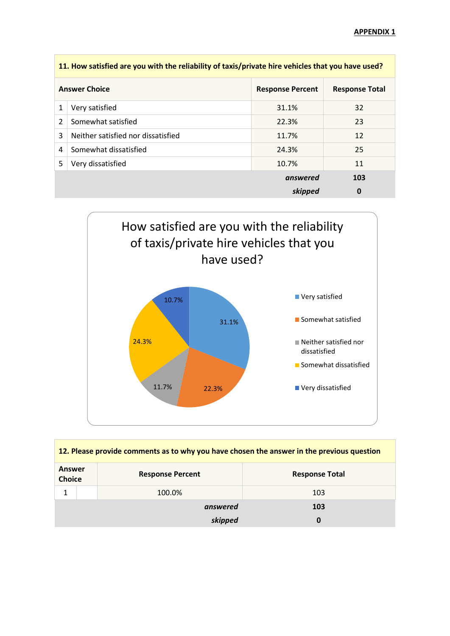|   | 11. How satisfied are you with the reliability of taxis/private hire vehicles that you have used? |          |     |  |  |
|---|---------------------------------------------------------------------------------------------------|----------|-----|--|--|
|   | <b>Answer Choice</b><br><b>Response Percent</b><br><b>Response Total</b>                          |          |     |  |  |
| 1 | Very satisfied                                                                                    | 31.1%    | 32  |  |  |
| 2 | Somewhat satisfied                                                                                | 22.3%    | 23  |  |  |
| 3 | Neither satisfied nor dissatisfied                                                                | 11.7%    | 12  |  |  |
| 4 | Somewhat dissatisfied                                                                             | 24.3%    | 25  |  |  |
| 5 | Very dissatisfied                                                                                 | 10.7%    | 11  |  |  |
|   |                                                                                                   | answered | 103 |  |  |
|   |                                                                                                   | skipped  | 0   |  |  |



| 12. Please provide comments as to why you have chosen the answer in the previous question |                         |                       |  |  |  |
|-------------------------------------------------------------------------------------------|-------------------------|-----------------------|--|--|--|
| Answer<br><b>Choice</b>                                                                   | <b>Response Percent</b> | <b>Response Total</b> |  |  |  |
|                                                                                           | 100.0%                  | 103                   |  |  |  |
|                                                                                           | answered                | 103                   |  |  |  |
|                                                                                           | skipped                 | 0                     |  |  |  |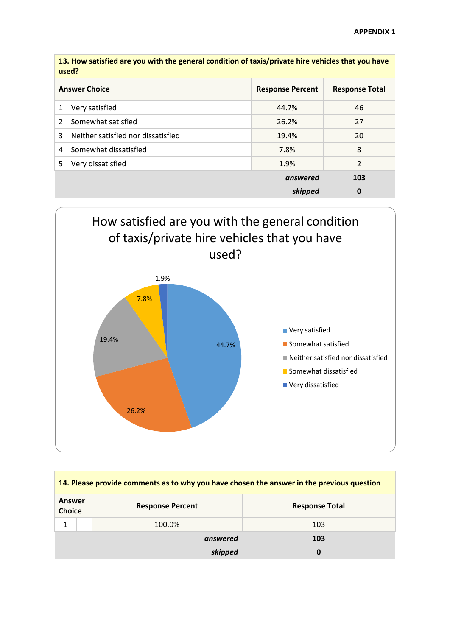|   | 13. How satisfied are you with the general condition of taxis/private hire vehicles that you have<br>used? |                       |     |  |  |
|---|------------------------------------------------------------------------------------------------------------|-----------------------|-----|--|--|
|   | <b>Answer Choice</b>                                                                                       | <b>Response Total</b> |     |  |  |
| 1 | Very satisfied                                                                                             | 44.7%                 | 46  |  |  |
| 2 | Somewhat satisfied                                                                                         | 26.2%                 | 27  |  |  |
| 3 | Neither satisfied nor dissatisfied                                                                         | 19.4%                 | 20  |  |  |
| 4 | Somewhat dissatisfied                                                                                      | 7.8%                  | 8   |  |  |
| 5 | Very dissatisfied                                                                                          | $\overline{2}$        |     |  |  |
|   |                                                                                                            | answered              | 103 |  |  |
|   |                                                                                                            | skipped               | 0   |  |  |

How satisfied are you with the general condition of taxis/private hire vehicles that you have



| 14. Please provide comments as to why you have chosen the answer in the previous question |              |                         |                       |  |
|-------------------------------------------------------------------------------------------|--------------|-------------------------|-----------------------|--|
| Answer<br><b>Choice</b>                                                                   |              | <b>Response Percent</b> | <b>Response Total</b> |  |
|                                                                                           |              | 100.0%                  | 103                   |  |
|                                                                                           |              | answered                | 103                   |  |
|                                                                                           | skipped<br>0 |                         |                       |  |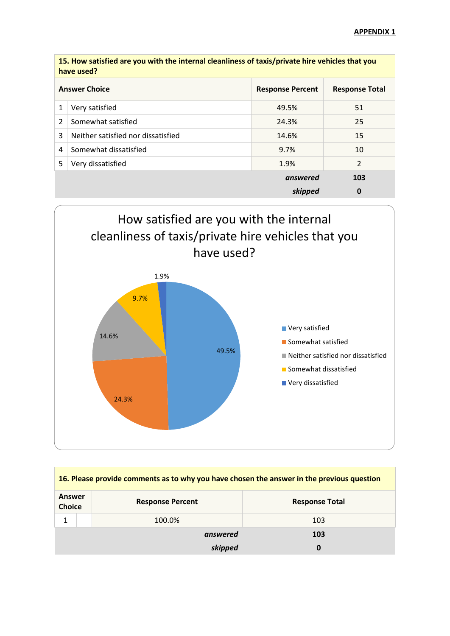|   | 15. How satisfied are you with the internal cleanliness of taxis/private hire vehicles that you<br>have used? |                       |    |  |
|---|---------------------------------------------------------------------------------------------------------------|-----------------------|----|--|
|   | <b>Answer Choice</b>                                                                                          | <b>Response Total</b> |    |  |
| 1 | Very satisfied                                                                                                | 49.5%                 | 51 |  |
| 2 | Somewhat satisfied                                                                                            | 24.3%                 | 25 |  |
| 3 | Neither satisfied nor dissatisfied                                                                            | 14.6%                 | 15 |  |
| 4 | Somewhat dissatisfied                                                                                         | 9.7%                  | 10 |  |
| 5 | Very dissatisfied                                                                                             | $\overline{2}$        |    |  |
|   |                                                                                                               | 103                   |    |  |
|   |                                                                                                               | 0                     |    |  |



| 16. Please provide comments as to why you have chosen the answer in the previous question |              |                         |                       |  |
|-------------------------------------------------------------------------------------------|--------------|-------------------------|-----------------------|--|
| Answer<br><b>Choice</b>                                                                   |              | <b>Response Percent</b> | <b>Response Total</b> |  |
|                                                                                           |              | 100.0%                  | 103                   |  |
|                                                                                           | answered     |                         | 103                   |  |
|                                                                                           | skipped<br>0 |                         |                       |  |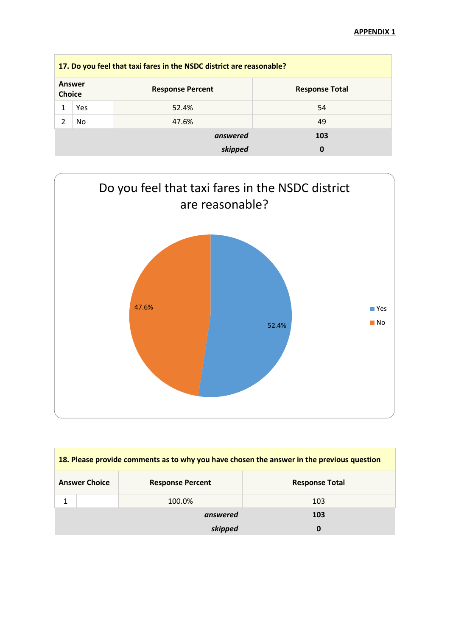| 17. Do you feel that taxi fares in the NSDC district are reasonable? |     |                         |                       |  |
|----------------------------------------------------------------------|-----|-------------------------|-----------------------|--|
| Answer<br><b>Choice</b>                                              |     | <b>Response Percent</b> | <b>Response Total</b> |  |
|                                                                      | Yes | 52.4%                   | 54                    |  |
|                                                                      | No  | 47.6%                   | 49                    |  |
|                                                                      |     | answered                | 103                   |  |
|                                                                      |     | skipped                 |                       |  |



| 18. Please provide comments as to why you have chosen the answer in the previous question |  |                         |                       |
|-------------------------------------------------------------------------------------------|--|-------------------------|-----------------------|
| <b>Answer Choice</b>                                                                      |  | <b>Response Percent</b> | <b>Response Total</b> |
|                                                                                           |  | 100.0%                  | 103                   |
|                                                                                           |  | answered                | 103                   |
|                                                                                           |  | skipped                 | 0                     |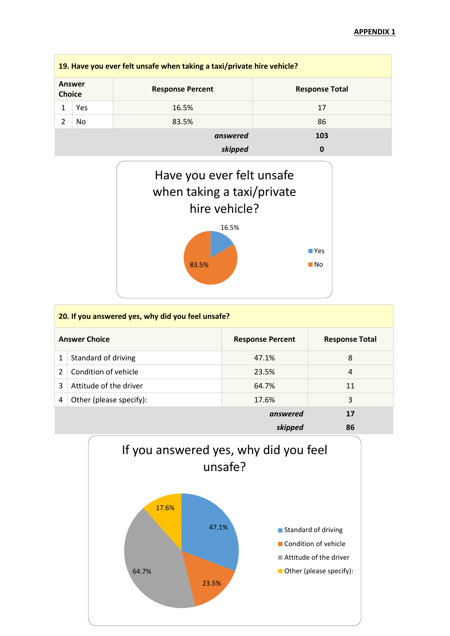| 19. Have you ever felt unsafe when taking a taxi/private hire vehicle? |     |                         |                       |  |
|------------------------------------------------------------------------|-----|-------------------------|-----------------------|--|
| Answer<br><b>Choice</b>                                                |     | <b>Response Percent</b> | <b>Response Total</b> |  |
|                                                                        | Yes | 16.5%                   | 17                    |  |
|                                                                        | No. | 83.5%                   | 86                    |  |
|                                                                        |     | answered                | 103                   |  |
|                                                                        |     | skipped                 |                       |  |



|   | 20. If you answered yes, why did you feel unsafe? |                         |                       |  |  |
|---|---------------------------------------------------|-------------------------|-----------------------|--|--|
|   | <b>Answer Choice</b>                              | <b>Response Percent</b> | <b>Response Total</b> |  |  |
| 1 | Standard of driving                               | 47.1%                   | 8                     |  |  |
| 2 | Condition of vehicle                              | 23.5%                   | 4                     |  |  |
| 3 | Attitude of the driver                            | 64.7%                   | 11                    |  |  |
| 4 | Other (please specify):                           | 17.6%                   | 3                     |  |  |
|   |                                                   | 17                      |                       |  |  |
|   |                                                   | 86                      |                       |  |  |

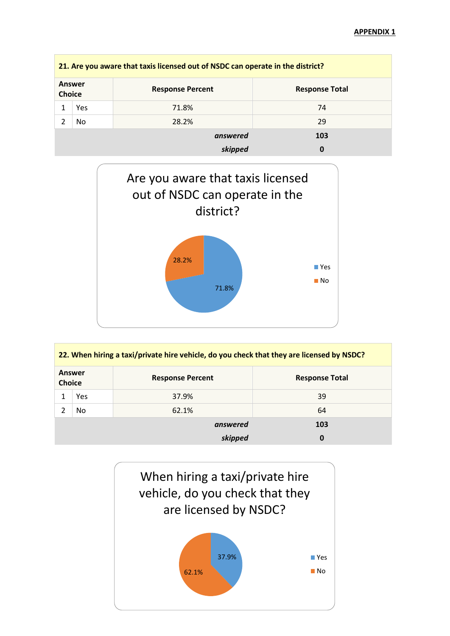|                                | 21. Are you aware that taxis licensed out of NSDC can operate in the district? |                         |                       |  |  |
|--------------------------------|--------------------------------------------------------------------------------|-------------------------|-----------------------|--|--|
| <b>Answer</b><br><b>Choice</b> |                                                                                | <b>Response Percent</b> | <b>Response Total</b> |  |  |
|                                | Yes                                                                            | 71.8%                   | 74                    |  |  |
|                                | No                                                                             | 28.2%                   | 29                    |  |  |
|                                |                                                                                | answered                | 103                   |  |  |
|                                |                                                                                | skipped                 |                       |  |  |



| 22. When hiring a taxi/private hire vehicle, do you check that they are licensed by NSDC? |     |                         |                       |  |
|-------------------------------------------------------------------------------------------|-----|-------------------------|-----------------------|--|
| Answer<br><b>Choice</b>                                                                   |     | <b>Response Percent</b> | <b>Response Total</b> |  |
|                                                                                           | Yes | 37.9%                   | 39                    |  |
|                                                                                           | No  | 62.1%                   | 64                    |  |
|                                                                                           |     | answered                | 103                   |  |
|                                                                                           |     | skipped                 | 0                     |  |

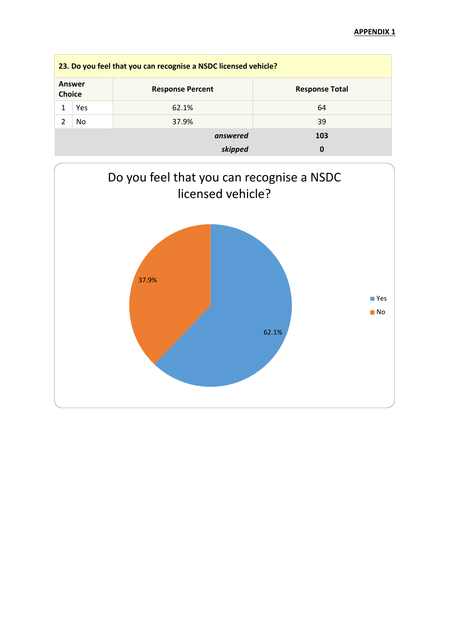| 23. Do you feel that you can recognise a NSDC licensed vehicle? |     |                         |                       |  |
|-----------------------------------------------------------------|-----|-------------------------|-----------------------|--|
| Answer<br><b>Choice</b>                                         |     | <b>Response Percent</b> | <b>Response Total</b> |  |
|                                                                 | Yes | 62.1%                   | 64                    |  |
|                                                                 | No  | 37.9%                   | 39                    |  |
|                                                                 |     | answered                | 103                   |  |
|                                                                 |     | skipped                 | 0                     |  |

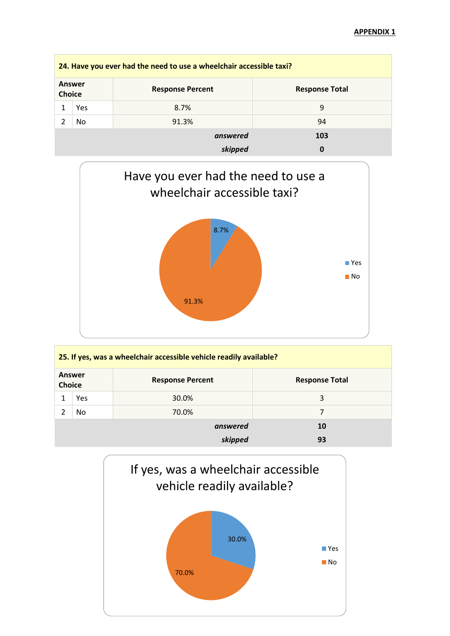| 24. Have you ever had the need to use a wheelchair accessible taxi? |     |                         |                       |  |
|---------------------------------------------------------------------|-----|-------------------------|-----------------------|--|
| <b>Answer</b><br><b>Choice</b>                                      |     | <b>Response Percent</b> | <b>Response Total</b> |  |
|                                                                     | Yes | 8.7%                    | 9                     |  |
|                                                                     | No  | 91.3%                   | 94                    |  |
|                                                                     |     | answered                | 103                   |  |
|                                                                     |     | skipped                 | 0                     |  |



| 25. If yes, was a wheelchair accessible vehicle readily available? |     |                         |                       |
|--------------------------------------------------------------------|-----|-------------------------|-----------------------|
| Answer<br><b>Choice</b>                                            |     | <b>Response Percent</b> | <b>Response Total</b> |
|                                                                    | Yes | 30.0%                   | 3                     |
|                                                                    | No. | 70.0%                   | 7                     |
|                                                                    |     | answered                | 10                    |
|                                                                    |     | skipped                 | 93                    |

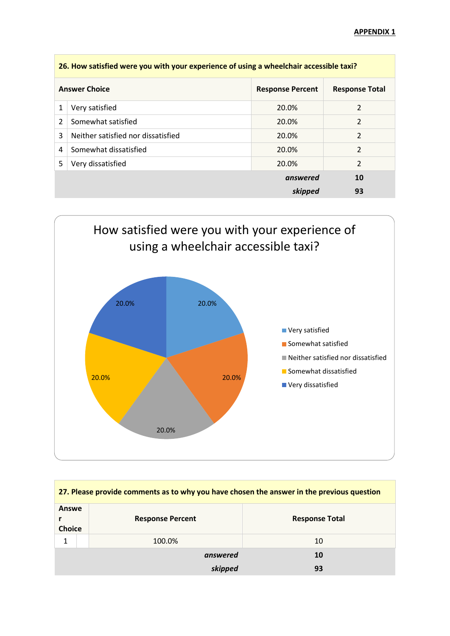| 26. How satisfied were you with your experience of using a wheelchair accessible taxi? |                                    |                         |                       |
|----------------------------------------------------------------------------------------|------------------------------------|-------------------------|-----------------------|
|                                                                                        | <b>Answer Choice</b>               | <b>Response Percent</b> | <b>Response Total</b> |
| 1                                                                                      | Very satisfied                     | 20.0%                   | 2                     |
| $\overline{2}$                                                                         | Somewhat satisfied                 | 20.0%                   | 2                     |
| 3                                                                                      | Neither satisfied nor dissatisfied | 20.0%                   | 2                     |
| 4                                                                                      | Somewhat dissatisfied              | 20.0%                   | $\overline{2}$        |
| 5                                                                                      | Very dissatisfied                  | 20.0%                   | $\mathcal{P}$         |
|                                                                                        |                                    | answered                | 10                    |
|                                                                                        |                                    | skipped                 | 93                    |



| 27. Please provide comments as to why you have chosen the answer in the previous question |                         |                       |  |
|-------------------------------------------------------------------------------------------|-------------------------|-----------------------|--|
| Answe<br><b>Choice</b>                                                                    | <b>Response Percent</b> | <b>Response Total</b> |  |
|                                                                                           | 100.0%                  | 10                    |  |
|                                                                                           | answered                | 10                    |  |
|                                                                                           | skipped                 | 93                    |  |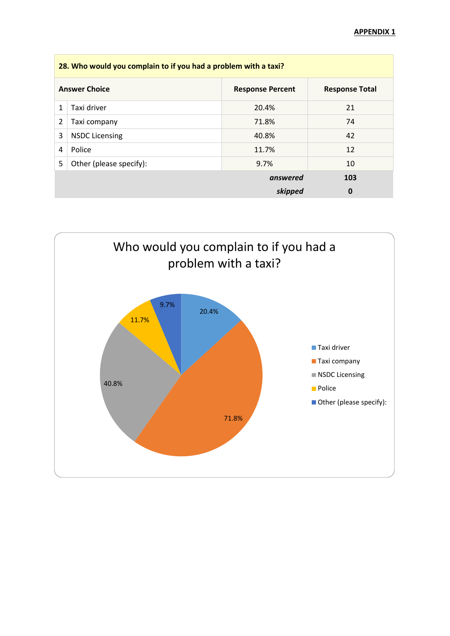| 28. Who would you complain to if you had a problem with a taxi? |                         |                         |                       |
|-----------------------------------------------------------------|-------------------------|-------------------------|-----------------------|
|                                                                 | <b>Answer Choice</b>    | <b>Response Percent</b> | <b>Response Total</b> |
| 1                                                               | Taxi driver             | 20.4%                   | 21                    |
| 2                                                               | Taxi company            | 71.8%                   | 74                    |
| 3                                                               | <b>NSDC Licensing</b>   | 40.8%                   | 42                    |
| 4                                                               | Police                  | 11.7%                   | 12                    |
| 5                                                               | Other (please specify): | 9.7%                    | 10                    |
|                                                                 |                         | answered                | 103                   |
|                                                                 |                         | skipped                 | 0                     |